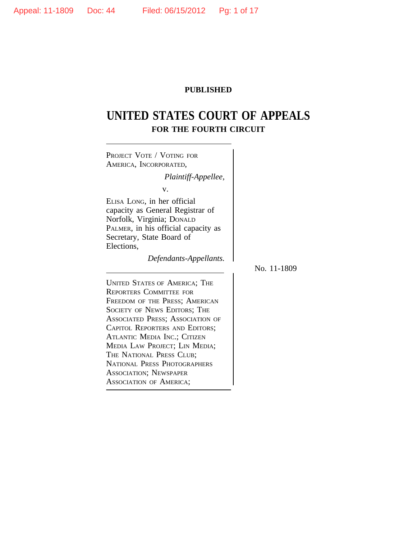## **PUBLISHED**

# **UNITED STATES COURT OF APPEALS FOR THE FOURTH CIRCUIT**

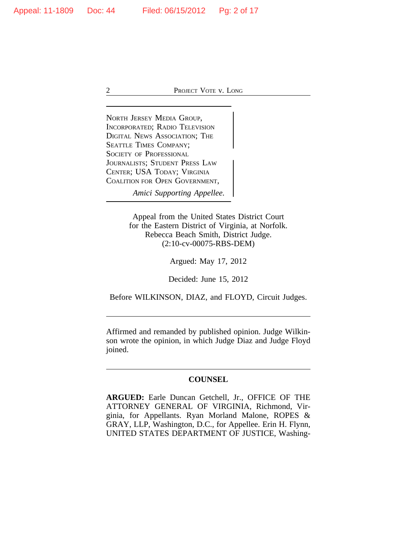<sup>N</sup>ORTH JERSEY MEDIA GROUP, INCORPORATED; RADIO TELEVISION DIGITAL NEWS ASSOCIATION; THE SEATTLE TIMES COMPANY; <sup>S</sup>OCIETY OF PROFESSIONAL JOURNALISTS; STUDENT PRESS LAW CENTER; USA TODAY; VIRGINIA COALITION FOR OPEN GOVERNMENT,

*Amici Supporting Appellee.*

Appeal from the United States District Court for the Eastern District of Virginia, at Norfolk. Rebecca Beach Smith, District Judge. (2:10-cv-00075-RBS-DEM)

Argued: May 17, 2012

Decided: June 15, 2012

Before WILKINSON, DIAZ, and FLOYD, Circuit Judges.

Affirmed and remanded by published opinion. Judge Wilkinson wrote the opinion, in which Judge Diaz and Judge Floyd joined.

## **COUNSEL**

**ARGUED:** Earle Duncan Getchell, Jr., OFFICE OF THE ATTORNEY GENERAL OF VIRGINIA, Richmond, Virginia, for Appellants. Ryan Morland Malone, ROPES & GRAY, LLP, Washington, D.C., for Appellee. Erin H. Flynn, UNITED STATES DEPARTMENT OF JUSTICE, Washing-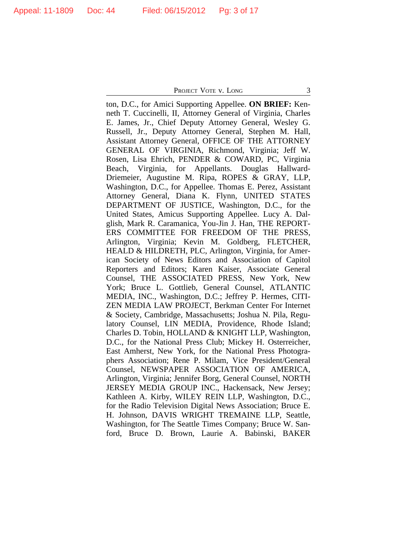ton, D.C., for Amici Supporting Appellee. **ON BRIEF:** Kenneth T. Cuccinelli, II, Attorney General of Virginia, Charles E. James, Jr., Chief Deputy Attorney General, Wesley G. Russell, Jr., Deputy Attorney General, Stephen M. Hall, Assistant Attorney General, OFFICE OF THE ATTORNEY GENERAL OF VIRGINIA, Richmond, Virginia; Jeff W. Rosen, Lisa Ehrich, PENDER & COWARD, PC, Virginia Beach, Virginia, for Appellants. Douglas Hallward-Driemeier, Augustine M. Ripa, ROPES & GRAY, LLP, Washington, D.C., for Appellee. Thomas E. Perez, Assistant Attorney General, Diana K. Flynn, UNITED STATES DEPARTMENT OF JUSTICE, Washington, D.C., for the United States, Amicus Supporting Appellee. Lucy A. Dalglish, Mark R. Caramanica, You-Jin J. Han, THE REPORT-ERS COMMITTEE FOR FREEDOM OF THE PRESS, Arlington, Virginia; Kevin M. Goldberg, FLETCHER, HEALD & HILDRETH, PLC, Arlington, Virginia, for American Society of News Editors and Association of Capitol Reporters and Editors; Karen Kaiser, Associate General Counsel, THE ASSOCIATED PRESS, New York, New York; Bruce L. Gottlieb, General Counsel, ATLANTIC MEDIA, INC., Washington, D.C.; Jeffrey P. Hermes, CITI-ZEN MEDIA LAW PROJECT, Berkman Center For Internet & Society, Cambridge, Massachusetts; Joshua N. Pila, Regulatory Counsel, LIN MEDIA, Providence, Rhode Island; Charles D. Tobin, HOLLAND & KNIGHT LLP, Washington, D.C., for the National Press Club; Mickey H. Osterreicher, East Amherst, New York, for the National Press Photographers Association; Rene P. Milam, Vice President/General Counsel, NEWSPAPER ASSOCIATION OF AMERICA, Arlington, Virginia; Jennifer Borg, General Counsel, NORTH JERSEY MEDIA GROUP INC., Hackensack, New Jersey; Kathleen A. Kirby, WILEY REIN LLP, Washington, D.C., for the Radio Television Digital News Association; Bruce E. H. Johnson, DAVIS WRIGHT TREMAINE LLP, Seattle, Washington, for The Seattle Times Company; Bruce W. Sanford, Bruce D. Brown, Laurie A. Babinski, BAKER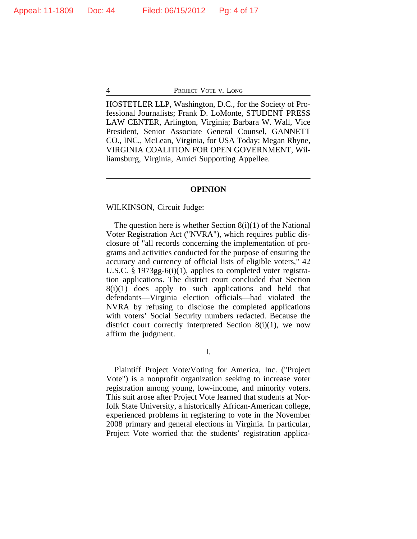HOSTETLER LLP, Washington, D.C., for the Society of Professional Journalists; Frank D. LoMonte, STUDENT PRESS LAW CENTER, Arlington, Virginia; Barbara W. Wall, Vice President, Senior Associate General Counsel, GANNETT CO., INC., McLean, Virginia, for USA Today; Megan Rhyne, VIRGINIA COALITION FOR OPEN GOVERNMENT, Williamsburg, Virginia, Amici Supporting Appellee.

### **OPINION**

#### WILKINSON, Circuit Judge:

The question here is whether Section  $8(i)(1)$  of the National Voter Registration Act ("NVRA"), which requires public disclosure of "all records concerning the implementation of programs and activities conducted for the purpose of ensuring the accuracy and currency of official lists of eligible voters," 42 U.S.C. § 1973gg-6(i)(1), applies to completed voter registration applications. The district court concluded that Section  $8(i)(1)$  does apply to such applications and held that defendants—Virginia election officials—had violated the NVRA by refusing to disclose the completed applications with voters' Social Security numbers redacted. Because the district court correctly interpreted Section 8(i)(1), we now affirm the judgment.

I.

Plaintiff Project Vote/Voting for America, Inc. ("Project Vote") is a nonprofit organization seeking to increase voter registration among young, low-income, and minority voters. This suit arose after Project Vote learned that students at Norfolk State University, a historically African-American college, experienced problems in registering to vote in the November 2008 primary and general elections in Virginia. In particular, Project Vote worried that the students' registration applica-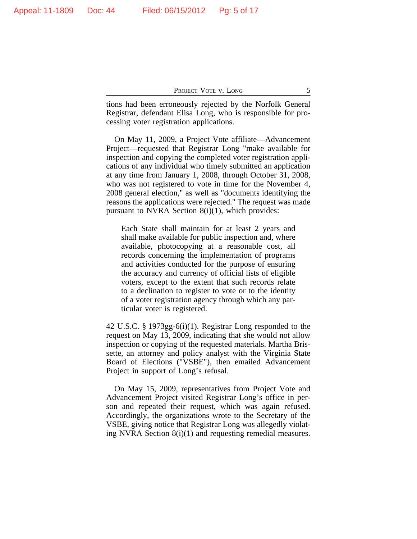tions had been erroneously rejected by the Norfolk General Registrar, defendant Elisa Long, who is responsible for processing voter registration applications.

On May 11, 2009, a Project Vote affiliate—Advancement Project—requested that Registrar Long "make available for inspection and copying the completed voter registration applications of any individual who timely submitted an application at any time from January 1, 2008, through October 31, 2008, who was not registered to vote in time for the November 4, 2008 general election," as well as "documents identifying the reasons the applications were rejected." The request was made pursuant to NVRA Section 8(i)(1), which provides:

Each State shall maintain for at least 2 years and shall make available for public inspection and, where available, photocopying at a reasonable cost, all records concerning the implementation of programs and activities conducted for the purpose of ensuring the accuracy and currency of official lists of eligible voters, except to the extent that such records relate to a declination to register to vote or to the identity of a voter registration agency through which any particular voter is registered.

42 U.S.C. § 1973gg-6(i)(1). Registrar Long responded to the request on May 13, 2009, indicating that she would not allow inspection or copying of the requested materials. Martha Brissette, an attorney and policy analyst with the Virginia State Board of Elections ("VSBE"), then emailed Advancement Project in support of Long's refusal.

On May 15, 2009, representatives from Project Vote and Advancement Project visited Registrar Long's office in person and repeated their request, which was again refused. Accordingly, the organizations wrote to the Secretary of the VSBE, giving notice that Registrar Long was allegedly violating NVRA Section 8(i)(1) and requesting remedial measures.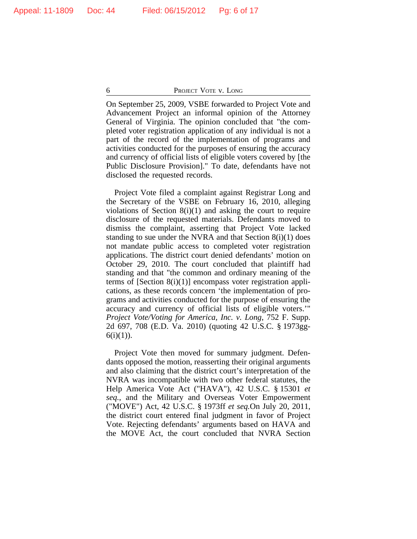On September 25, 2009, VSBE forwarded to Project Vote and Advancement Project an informal opinion of the Attorney General of Virginia. The opinion concluded that "the completed voter registration application of any individual is not a part of the record of the implementation of programs and activities conducted for the purposes of ensuring the accuracy and currency of official lists of eligible voters covered by [the Public Disclosure Provision]." To date, defendants have not disclosed the requested records.

Project Vote filed a complaint against Registrar Long and the Secretary of the VSBE on February 16, 2010, alleging violations of Section  $8(i)(1)$  and asking the court to require disclosure of the requested materials. Defendants moved to dismiss the complaint, asserting that Project Vote lacked standing to sue under the NVRA and that Section 8(i)(1) does not mandate public access to completed voter registration applications. The district court denied defendants' motion on October 29, 2010. The court concluded that plaintiff had standing and that "the common and ordinary meaning of the terms of [Section  $8(i)(1)$ ] encompass voter registration applications, as these records concern 'the implementation of programs and activities conducted for the purpose of ensuring the accuracy and currency of official lists of eligible voters.'" *Project Vote/Voting for America, Inc. v. Long*, 752 F. Supp. 2d 697, 708 (E.D. Va. 2010) (quoting 42 U.S.C. § 1973gg- $6(i)(1)$ ).

Project Vote then moved for summary judgment. Defendants opposed the motion, reasserting their original arguments and also claiming that the district court's interpretation of the NVRA was incompatible with two other federal statutes, the Help America Vote Act ("HAVA"), 42 U.S.C. § 15301 *et seq.*, and the Military and Overseas Voter Empowerment ("MOVE") Act, 42 U.S.C. § 1973ff *et seq.*On July 20, 2011, the district court entered final judgment in favor of Project Vote. Rejecting defendants' arguments based on HAVA and the MOVE Act, the court concluded that NVRA Section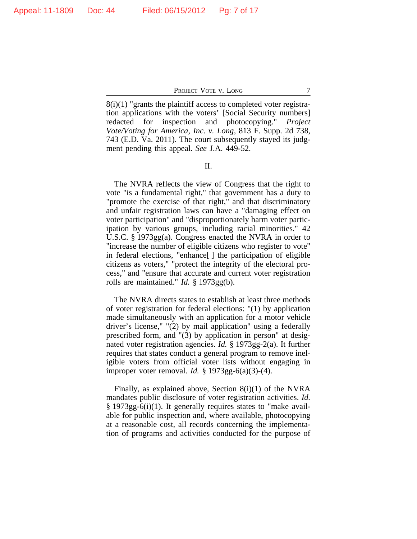$8(i)(1)$  "grants the plaintiff access to completed voter registration applications with the voters' [Social Security numbers] redacted for inspection and photocopying." *Project Vote/Voting for America, Inc. v. Long*, 813 F. Supp. 2d 738, 743 (E.D. Va. 2011). The court subsequently stayed its judgment pending this appeal. *See* J.A. 449-52.

II.

The NVRA reflects the view of Congress that the right to vote "is a fundamental right," that government has a duty to "promote the exercise of that right," and that discriminatory and unfair registration laws can have a "damaging effect on voter participation" and "disproportionately harm voter participation by various groups, including racial minorities." 42 U.S.C. § 1973gg(a). Congress enacted the NVRA in order to "increase the number of eligible citizens who register to vote" in federal elections, "enhance[ ] the participation of eligible citizens as voters," "protect the integrity of the electoral process," and "ensure that accurate and current voter registration rolls are maintained." *Id.* § 1973gg(b).

The NVRA directs states to establish at least three methods of voter registration for federal elections: "(1) by application made simultaneously with an application for a motor vehicle driver's license," "(2) by mail application" using a federally prescribed form, and "(3) by application in person" at designated voter registration agencies. *Id.* § 1973gg-2(a). It further requires that states conduct a general program to remove ineligible voters from official voter lists without engaging in improper voter removal. *Id.* § 1973gg-6(a)(3)-(4).

Finally, as explained above, Section 8(i)(1) of the NVRA mandates public disclosure of voter registration activities. *Id.* § 1973gg-6(i)(1). It generally requires states to "make available for public inspection and, where available, photocopying at a reasonable cost, all records concerning the implementation of programs and activities conducted for the purpose of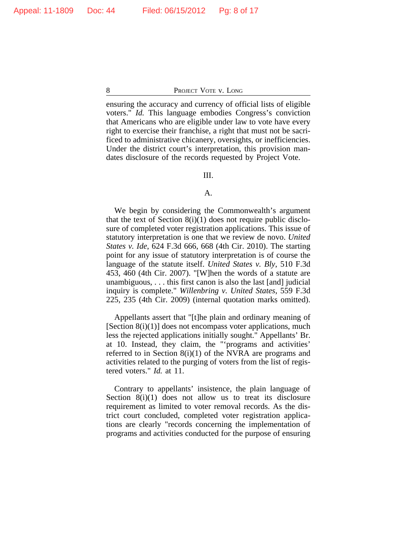ensuring the accuracy and currency of official lists of eligible voters." *Id.* This language embodies Congress's conviction that Americans who are eligible under law to vote have every right to exercise their franchise, a right that must not be sacrificed to administrative chicanery, oversights, or inefficiencies. Under the district court's interpretation, this provision mandates disclosure of the records requested by Project Vote.

## III.

## A.

We begin by considering the Commonwealth's argument that the text of Section  $8(i)(1)$  does not require public disclosure of completed voter registration applications. This issue of statutory interpretation is one that we review de novo. *United States v. Ide*, 624 F.3d 666, 668 (4th Cir. 2010). The starting point for any issue of statutory interpretation is of course the language of the statute itself. *United States v. Bly*, 510 F.3d 453, 460 (4th Cir. 2007). "[W]hen the words of a statute are unambiguous, . . . this first canon is also the last [and] judicial inquiry is complete." *Willenbring v. United States*, 559 F.3d 225, 235 (4th Cir. 2009) (internal quotation marks omitted).

Appellants assert that "[t]he plain and ordinary meaning of [Section 8(i)(1)] does not encompass voter applications, much less the rejected applications initially sought." Appellants' Br. at 10. Instead, they claim, the "'programs and activities' referred to in Section 8(i)(1) of the NVRA are programs and activities related to the purging of voters from the list of registered voters." *Id.* at 11.

Contrary to appellants' insistence, the plain language of Section  $8(i)(1)$  does not allow us to treat its disclosure requirement as limited to voter removal records. As the district court concluded, completed voter registration applications are clearly "records concerning the implementation of programs and activities conducted for the purpose of ensuring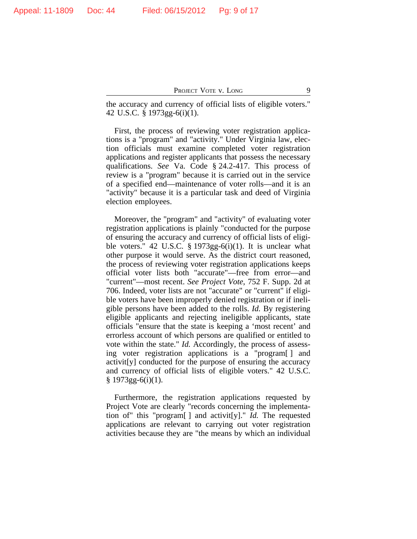the accuracy and currency of official lists of eligible voters." 42 U.S.C. § 1973gg-6(i)(1).

First, the process of reviewing voter registration applications is a "program" and "activity." Under Virginia law, election officials must examine completed voter registration applications and register applicants that possess the necessary qualifications. *See* Va. Code § 24.2-417. This process of review is a "program" because it is carried out in the service of a specified end—maintenance of voter rolls—and it is an "activity" because it is a particular task and deed of Virginia election employees.

Moreover, the "program" and "activity" of evaluating voter registration applications is plainly "conducted for the purpose of ensuring the accuracy and currency of official lists of eligible voters." 42 U.S.C.  $\S 1973gg-6(i)(1)$ . It is unclear what other purpose it would serve. As the district court reasoned, the process of reviewing voter registration applications keeps official voter lists both "accurate"—free from error—and "current"—most recent. *See Project Vote*, 752 F. Supp. 2d at 706. Indeed, voter lists are not "accurate" or "current" if eligible voters have been improperly denied registration or if ineligible persons have been added to the rolls. *Id.* By registering eligible applicants and rejecting ineligible applicants, state officials "ensure that the state is keeping a 'most recent' and errorless account of which persons are qualified or entitled to vote within the state." *Id.* Accordingly, the process of assessing voter registration applications is a "program[ ] and activit[y] conducted for the purpose of ensuring the accuracy and currency of official lists of eligible voters." 42 U.S.C.  $§ 1973gg-6(i)(1).$ 

Furthermore, the registration applications requested by Project Vote are clearly "records concerning the implementation of" this "program[ ] and activit[y]." *Id.* The requested applications are relevant to carrying out voter registration activities because they are "the means by which an individual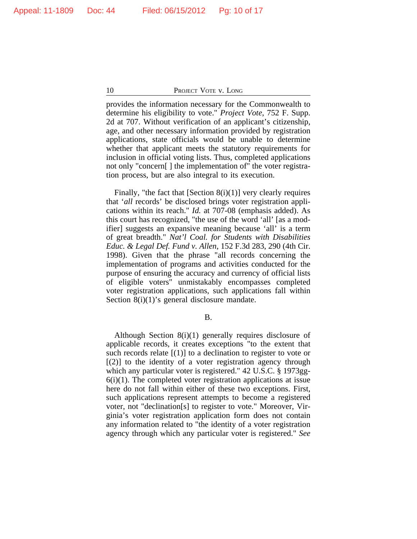provides the information necessary for the Commonwealth to determine his eligibility to vote." *Project Vote*, 752 F. Supp. 2d at 707. Without verification of an applicant's citizenship, age, and other necessary information provided by registration applications, state officials would be unable to determine whether that applicant meets the statutory requirements for inclusion in official voting lists. Thus, completed applications not only "concern[ ] the implementation of" the voter registration process, but are also integral to its execution.

Finally, "the fact that  $[Section 8(i)(1)]$  very clearly requires that '*all* records' be disclosed brings voter registration applications within its reach." *Id.* at 707-08 (emphasis added). As this court has recognized, "the use of the word 'all' [as a modifier] suggests an expansive meaning because 'all' is a term of great breadth." *Nat'l Coal. for Students with Disabilities Educ. & Legal Def. Fund v. Allen*, 152 F.3d 283, 290 (4th Cir. 1998). Given that the phrase "all records concerning the implementation of programs and activities conducted for the purpose of ensuring the accuracy and currency of official lists of eligible voters" unmistakably encompasses completed voter registration applications, such applications fall within Section 8(i)(1)'s general disclosure mandate.

B.

Although Section 8(i)(1) generally requires disclosure of applicable records, it creates exceptions "to the extent that such records relate  $[(1)]$  to a declination to register to vote or  $[(2)]$  to the identity of a voter registration agency through which any particular voter is registered." 42 U.S.C. § 1973gg- $6(i)(1)$ . The completed voter registration applications at issue here do not fall within either of these two exceptions. First, such applications represent attempts to become a registered voter, not "declination[s] to register to vote." Moreover, Virginia's voter registration application form does not contain any information related to "the identity of a voter registration agency through which any particular voter is registered." *See*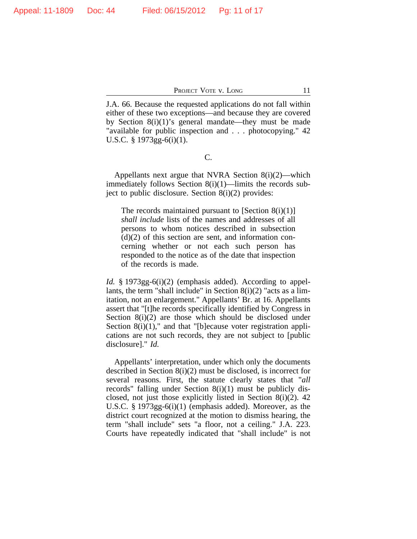J.A. 66. Because the requested applications do not fall within either of these two exceptions—and because they are covered by Section 8(i)(1)'s general mandate—they must be made "available for public inspection and . . . photocopying." 42 U.S.C. § 1973gg-6(i)(1).

C.

Appellants next argue that NVRA Section 8(i)(2)—which immediately follows Section 8(i)(1)—limits the records subject to public disclosure. Section 8(i)(2) provides:

The records maintained pursuant to  $[Section 8(i)(1)]$ *shall include* lists of the names and addresses of all persons to whom notices described in subsection  $(d)(2)$  of this section are sent, and information concerning whether or not each such person has responded to the notice as of the date that inspection of the records is made.

*Id.* § 1973gg-6(i)(2) (emphasis added). According to appellants, the term "shall include" in Section  $8(i)(2)$  "acts as a limitation, not an enlargement." Appellants' Br. at 16. Appellants assert that "[t]he records specifically identified by Congress in Section 8(i)(2) are those which should be disclosed under Section 8(i)(1)," and that "[b]ecause voter registration applications are not such records, they are not subject to [public disclosure]." *Id.*

Appellants' interpretation, under which only the documents described in Section 8(i)(2) must be disclosed, is incorrect for several reasons. First, the statute clearly states that "*all* records" falling under Section 8(i)(1) must be publicly disclosed, not just those explicitly listed in Section 8(i)(2). 42 U.S.C. § 1973gg-6(i)(1) (emphasis added). Moreover, as the district court recognized at the motion to dismiss hearing, the term "shall include" sets "a floor, not a ceiling." J.A. 223. Courts have repeatedly indicated that "shall include" is not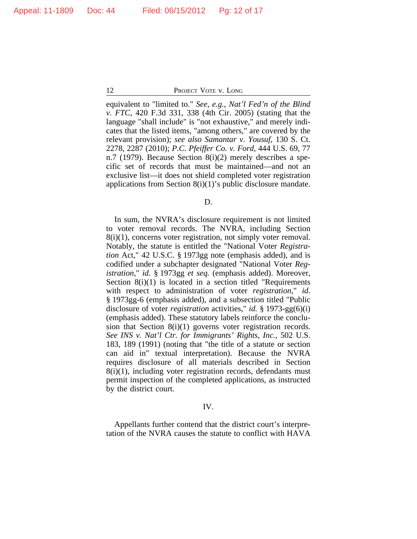equivalent to "limited to." *See, e.g.*, *Nat'l Fed'n of the Blind v. FTC*, 420 F.3d 331, 338 (4th Cir. 2005) (stating that the language "shall include" is "not exhaustive," and merely indicates that the listed items, "among others," are covered by the relevant provision); *see also Samantar v. Yousuf*, 130 S. Ct. 2278, 2287 (2010); *P.C. Pfeiffer Co. v. Ford*, 444 U.S. 69, 77 n.7 (1979). Because Section 8(i)(2) merely describes a specific set of records that must be maintained—and not an exclusive list—it does not shield completed voter registration applications from Section  $8(i)(1)$ 's public disclosure mandate.

D.

In sum, the NVRA's disclosure requirement is not limited to voter removal records. The NVRA, including Section 8(i)(1), concerns voter registration, not simply voter removal. Notably, the statute is entitled the "National Voter *Registration* Act," 42 U.S.C. § 1973gg note (emphasis added), and is codified under a subchapter designated "National Voter *Registration*," *id.* § 1973gg *et seq.* (emphasis added). Moreover, Section 8(i)(1) is located in a section titled "Requirements" with respect to administration of voter *registration*," *id.* § 1973gg-6 (emphasis added), and a subsection titled "Public disclosure of voter *registration* activities," *id.* § 1973-gg(6)(i) (emphasis added). These statutory labels reinforce the conclusion that Section 8(i)(1) governs voter registration records. *See INS v. Nat'l Ctr. for Immigrants' Rights, Inc.*, 502 U.S. 183, 189 (1991) (noting that "the title of a statute or section can aid in" textual interpretation). Because the NVRA requires disclosure of all materials described in Section 8(i)(1), including voter registration records, defendants must permit inspection of the completed applications, as instructed by the district court.

#### IV.

Appellants further contend that the district court's interpretation of the NVRA causes the statute to conflict with HAVA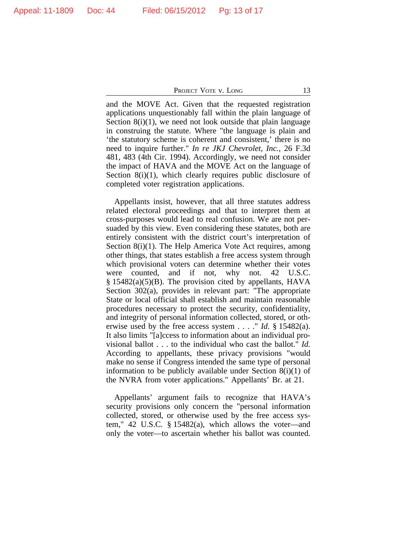and the MOVE Act. Given that the requested registration applications unquestionably fall within the plain language of Section  $8(i)(1)$ , we need not look outside that plain language in construing the statute. Where "the language is plain and 'the statutory scheme is coherent and consistent,' there is no need to inquire further." *In re JKJ Chevrolet, Inc.*, 26 F.3d 481, 483 (4th Cir. 1994). Accordingly, we need not consider the impact of HAVA and the MOVE Act on the language of Section 8(i)(1), which clearly requires public disclosure of completed voter registration applications.

Appellants insist, however, that all three statutes address related electoral proceedings and that to interpret them at cross-purposes would lead to real confusion. We are not persuaded by this view. Even considering these statutes, both are entirely consistent with the district court's interpretation of Section 8(i)(1). The Help America Vote Act requires, among other things, that states establish a free access system through which provisional voters can determine whether their votes were counted, and if not, why not. 42 U.S.C. § 15482(a)(5)(B). The provision cited by appellants, HAVA Section 302(a), provides in relevant part: "The appropriate State or local official shall establish and maintain reasonable procedures necessary to protect the security, confidentiality, and integrity of personal information collected, stored, or otherwise used by the free access system . . . ." *Id.* § 15482(a). It also limits "[a]ccess to information about an individual provisional ballot . . . to the individual who cast the ballot." *Id.* According to appellants, these privacy provisions "would make no sense if Congress intended the same type of personal information to be publicly available under Section 8(i)(1) of the NVRA from voter applications." Appellants' Br. at 21.

Appellants' argument fails to recognize that HAVA's security provisions only concern the "personal information collected, stored, or otherwise used by the free access system," 42 U.S.C. § 15482(a), which allows the voter—and only the voter—to ascertain whether his ballot was counted.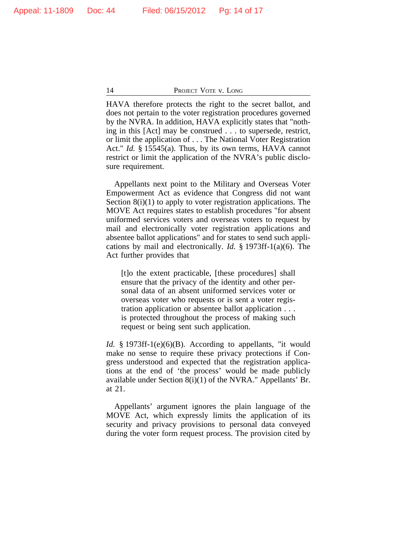HAVA therefore protects the right to the secret ballot, and does not pertain to the voter registration procedures governed by the NVRA. In addition, HAVA explicitly states that "nothing in this [Act] may be construed . . . to supersede, restrict, or limit the application of . . . The National Voter Registration Act." *Id.* § 15545(a). Thus, by its own terms, HAVA cannot restrict or limit the application of the NVRA's public disclosure requirement.

Appellants next point to the Military and Overseas Voter Empowerment Act as evidence that Congress did not want Section  $8(i)(1)$  to apply to voter registration applications. The MOVE Act requires states to establish procedures "for absent uniformed services voters and overseas voters to request by mail and electronically voter registration applications and absentee ballot applications" and for states to send such applications by mail and electronically. *Id.* § 1973ff-1(a)(6). The Act further provides that

[t]o the extent practicable, [these procedures] shall ensure that the privacy of the identity and other personal data of an absent uniformed services voter or overseas voter who requests or is sent a voter registration application or absentee ballot application . . . is protected throughout the process of making such request or being sent such application.

*Id.* § 1973ff-1(e)(6)(B). According to appellants, "it would make no sense to require these privacy protections if Congress understood and expected that the registration applications at the end of 'the process' would be made publicly available under Section 8(i)(1) of the NVRA." Appellants' Br. at 21.

Appellants' argument ignores the plain language of the MOVE Act, which expressly limits the application of its security and privacy provisions to personal data conveyed during the voter form request process. The provision cited by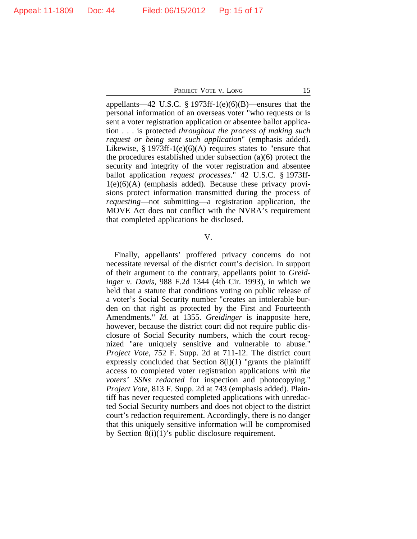appellants—42 U.S.C. § 1973ff-1(e)(6)(B)—ensures that the personal information of an overseas voter "who requests or is sent a voter registration application or absentee ballot application . . . is protected *throughout the process of making such request or being sent such application*" (emphasis added). Likewise,  $\S 1973ff-1(e)(6)(A)$  requires states to "ensure that the procedures established under subsection (a)(6) protect the security and integrity of the voter registration and absentee ballot application *request processes*." 42 U.S.C. § 1973ff- $1(e)(6)(A)$  (emphasis added). Because these privacy provisions protect information transmitted during the process of *requesting*—not submitting—a registration application, the MOVE Act does not conflict with the NVRA's requirement that completed applications be disclosed.

#### V.

Finally, appellants' proffered privacy concerns do not necessitate reversal of the district court's decision. In support of their argument to the contrary, appellants point to *Greidinger v. Davis*, 988 F.2d 1344 (4th Cir. 1993), in which we held that a statute that conditions voting on public release of a voter's Social Security number "creates an intolerable burden on that right as protected by the First and Fourteenth Amendments." *Id.* at 1355. *Greidinger* is inapposite here, however, because the district court did not require public disclosure of Social Security numbers, which the court recognized "are uniquely sensitive and vulnerable to abuse." *Project Vote*, 752 F. Supp. 2d at 711-12. The district court expressly concluded that Section  $8(i)(1)$  "grants the plaintiff access to completed voter registration applications *with the voters' SSNs redacted* for inspection and photocopying." *Project Vote*, 813 F. Supp. 2d at 743 (emphasis added). Plaintiff has never requested completed applications with unredacted Social Security numbers and does not object to the district court's redaction requirement. Accordingly, there is no danger that this uniquely sensitive information will be compromised by Section 8(i)(1)'s public disclosure requirement.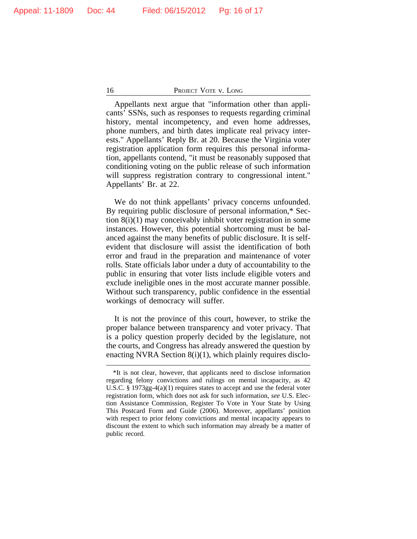Appellants next argue that "information other than applicants' SSNs, such as responses to requests regarding criminal history, mental incompetency, and even home addresses, phone numbers, and birth dates implicate real privacy interests." Appellants' Reply Br. at 20. Because the Virginia voter registration application form requires this personal information, appellants contend, "it must be reasonably supposed that conditioning voting on the public release of such information will suppress registration contrary to congressional intent." Appellants' Br. at 22.

We do not think appellants' privacy concerns unfounded. By requiring public disclosure of personal information,\* Section 8(i)(1) may conceivably inhibit voter registration in some instances. However, this potential shortcoming must be balanced against the many benefits of public disclosure. It is selfevident that disclosure will assist the identification of both error and fraud in the preparation and maintenance of voter rolls. State officials labor under a duty of accountability to the public in ensuring that voter lists include eligible voters and exclude ineligible ones in the most accurate manner possible. Without such transparency, public confidence in the essential workings of democracy will suffer.

It is not the province of this court, however, to strike the proper balance between transparency and voter privacy. That is a policy question properly decided by the legislature, not the courts, and Congress has already answered the question by enacting NVRA Section  $8(i)(1)$ , which plainly requires disclo-

<sup>\*</sup>It is not clear, however, that applicants need to disclose information regarding felony convictions and rulings on mental incapacity, as 42 U.S.C. § 1973gg-4(a)(1) requires states to accept and use the federal voter registration form, which does not ask for such information, *see* U.S. Election Assistance Commission, Register To Vote in Your State by Using This Postcard Form and Guide (2006). Moreover, appellants' position with respect to prior felony convictions and mental incapacity appears to discount the extent to which such information may already be a matter of public record.